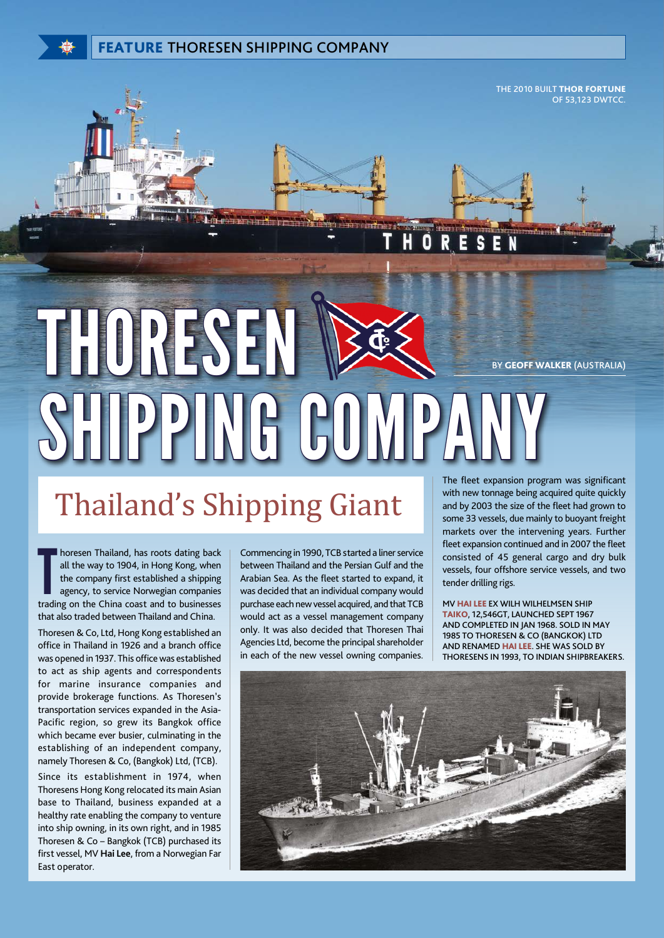THE 2010 BUILT THOR FORTUNE OF 53,123 DWTCC.

BY GEOFF WALKER (AUSTRALIA) PPING CO

## Thailand's Shipping Giant

Indiand, has roots dating back<br>
all the way to 1904, in Hong Kong, when<br>
the company first established a shipping<br>
agency, to service Norwegian companies<br>
trading on the China coast and to businesses horesen Thailand, has roots dating back all the way to 1904, in Hong Kong, when the company first established a shipping agency, to service Norwegian companies that also traded between Thailand and China.

Thoresen & Co, Ltd, Hong Kong established an office in Thailand in 1926 and a branch office was opened in 1937. This office was established to act as ship agents and correspondents for marine insurance companies and provide brokerage functions. As Thoresen's transportation services expanded in the Asia-Pacific region, so grew its Bangkok office which became ever busier, culminating in the establishing of an independent company, namely Thoresen & Co, (Bangkok) Ltd, (TCB). Since its establishment in 1974, when Thoresens Hong Kong relocated its main Asian base to Thailand, business expanded at a healthy rate enabling the company to venture into ship owning, in its own right, and in 1985 Thoresen & Co – Bangkok (TCB) purchased its first vessel, MV **Hai Lee**, from a Norwegian Far East operator.

Commencing in 1990, TCB started a liner service between Thailand and the Persian Gulf and the Arabian Sea. As the fleet started to expand, it was decided that an individual company would purchase each new vessel acquired, and that TCB would act as a vessel management company only. It was also decided that Thoresen Thai Agencies Ltd, become the principal shareholder in each of the new vessel owning companies.

The fleet expansion program was significant with new tonnage being acquired quite quickly and by 2003 the size of the fleet had grown to some 33 vessels, due mainly to buoyant freight markets over the intervening years. Further fleet expansion continued and in 2007 the fleet consisted of 45 general cargo and dry bulk vessels, four offshore service vessels, and two tender drilling rigs.

MV HAI LEE EX WILH WILHELMSEN SHIP TAIKO, 12,546GT, LAUNCHED SEPT 1967 AND COMPLETED IN JAN 1968. SOLD IN MAY 1985 TO THORESEN & CO (BANGKOK) LTD AND RENAMED HAI LEE. SHE WAS SOLD BY THORESENS IN 1993, TO INDIAN SHIPBREAKERS.